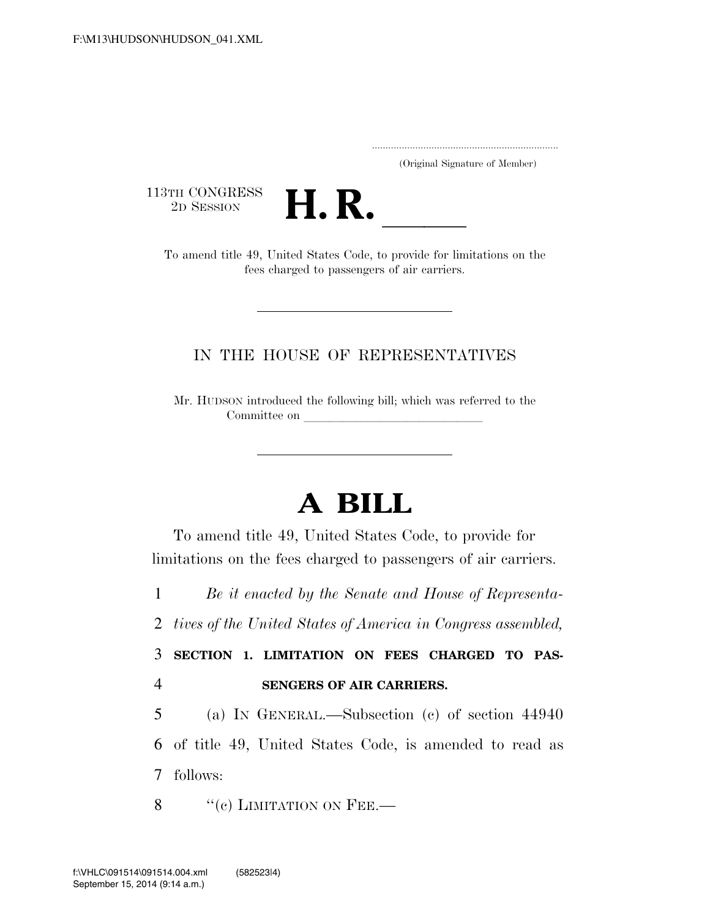..................................................................... (Original Signature of Member)

113TH CONGRESS<br>2D SESSION



2D SESSION **H. R.** ll To amend title 49, United States Code, to provide for limitations on the fees charged to passengers of air carriers.

## IN THE HOUSE OF REPRESENTATIVES

Mr. HUDSON introduced the following bill; which was referred to the Committee on

## **A BILL**

To amend title 49, United States Code, to provide for limitations on the fees charged to passengers of air carriers.

1 *Be it enacted by the Senate and House of Representa-*

2 *tives of the United States of America in Congress assembled,* 

3 **SECTION 1. LIMITATION ON FEES CHARGED TO PAS-**4 **SENGERS OF AIR CARRIERS.** 

5 (a) IN GENERAL.—Subsection (c) of section 44940 6 of title 49, United States Code, is amended to read as 7 follows:

 $\frac{8}{100}$   $\frac{100}{100}$  LIMITATION ON FEE.